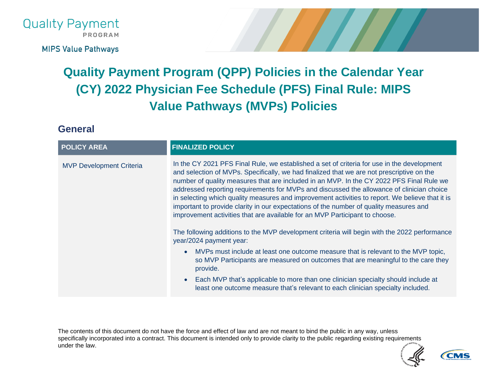

**MIPS Value Pathways** 

# **Quality Payment Program (QPP) Policies in the Calendar Year (CY) 2022 Physician Fee Schedule (PFS) Final Rule: MIPS Value Pathways (MVPs) Policies**

**General**

| <b>POLICY AREA</b>              | <b>FINALIZED POLICY</b>                                                                                                                                                                                                                                                                                                                                                                                                                                                                                                                                                                                                                                      |
|---------------------------------|--------------------------------------------------------------------------------------------------------------------------------------------------------------------------------------------------------------------------------------------------------------------------------------------------------------------------------------------------------------------------------------------------------------------------------------------------------------------------------------------------------------------------------------------------------------------------------------------------------------------------------------------------------------|
| <b>MVP Development Criteria</b> | In the CY 2021 PFS Final Rule, we established a set of criteria for use in the development<br>and selection of MVPs. Specifically, we had finalized that we are not prescriptive on the<br>number of quality measures that are included in an MVP. In the CY 2022 PFS Final Rule we<br>addressed reporting requirements for MVPs and discussed the allowance of clinician choice<br>in selecting which quality measures and improvement activities to report. We believe that it is<br>important to provide clarity in our expectations of the number of quality measures and<br>improvement activities that are available for an MVP Participant to choose. |
|                                 | The following additions to the MVP development criteria will begin with the 2022 performance<br>year/2024 payment year:                                                                                                                                                                                                                                                                                                                                                                                                                                                                                                                                      |
|                                 | MVPs must include at least one outcome measure that is relevant to the MVP topic,<br>so MVP Participants are measured on outcomes that are meaningful to the care they<br>provide.                                                                                                                                                                                                                                                                                                                                                                                                                                                                           |
|                                 | Each MVP that's applicable to more than one clinician specialty should include at<br>least one outcome measure that's relevant to each clinician specialty included.                                                                                                                                                                                                                                                                                                                                                                                                                                                                                         |

The contents of this document do not have the force and effect of law and are not meant to bind the public in any way, unless specifically incorporated into a contract. This document is intended only to provide clarity to the public regarding existing requirements under the law.

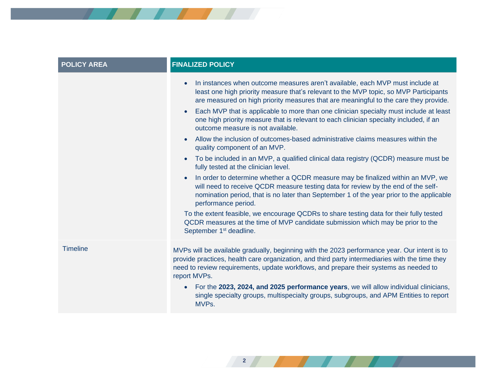

**2**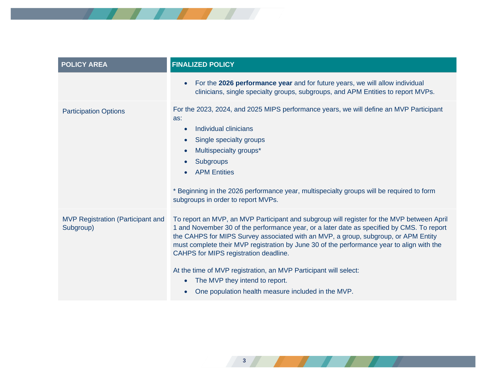

| <b>POLICY AREA</b>                                    | <b>FINALIZED POLICY</b>                                                                                                                                                                                                                                                                                                                                                                                                                                                                                                                                                        |
|-------------------------------------------------------|--------------------------------------------------------------------------------------------------------------------------------------------------------------------------------------------------------------------------------------------------------------------------------------------------------------------------------------------------------------------------------------------------------------------------------------------------------------------------------------------------------------------------------------------------------------------------------|
|                                                       | For the 2026 performance year and for future years, we will allow individual<br>clinicians, single specialty groups, subgroups, and APM Entities to report MVPs.                                                                                                                                                                                                                                                                                                                                                                                                               |
| <b>Participation Options</b>                          | For the 2023, 2024, and 2025 MIPS performance years, we will define an MVP Participant<br>as:<br>Individual clinicians<br>$\bullet$<br>Single specialty groups<br>Multispecialty groups*<br><b>Subgroups</b><br><b>APM Entities</b><br>* Beginning in the 2026 performance year, multispecialty groups will be required to form<br>subgroups in order to report MVPs.                                                                                                                                                                                                          |
| <b>MVP Registration (Participant and</b><br>Subgroup) | To report an MVP, an MVP Participant and subgroup will register for the MVP between April<br>1 and November 30 of the performance year, or a later date as specified by CMS. To report<br>the CAHPS for MIPS Survey associated with an MVP, a group, subgroup, or APM Entity<br>must complete their MVP registration by June 30 of the performance year to align with the<br>CAHPS for MIPS registration deadline.<br>At the time of MVP registration, an MVP Participant will select:<br>The MVP they intend to report.<br>One population health measure included in the MVP. |

**3** *1 1* **<b>***1 1 1 1*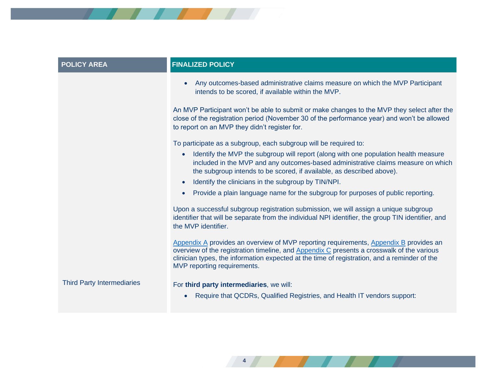

| <b>POLICY AREA</b>                | <b>FINALIZED POLICY</b>                                                                                                                                                                                                                                                                                           |
|-----------------------------------|-------------------------------------------------------------------------------------------------------------------------------------------------------------------------------------------------------------------------------------------------------------------------------------------------------------------|
|                                   | Any outcomes-based administrative claims measure on which the MVP Participant<br>intends to be scored, if available within the MVP.                                                                                                                                                                               |
|                                   | An MVP Participant won't be able to submit or make changes to the MVP they select after the<br>close of the registration period (November 30 of the performance year) and won't be allowed<br>to report on an MVP they didn't register for.                                                                       |
|                                   | To participate as a subgroup, each subgroup will be required to:                                                                                                                                                                                                                                                  |
|                                   | Identify the MVP the subgroup will report (along with one population health measure<br>$\bullet$<br>included in the MVP and any outcomes-based administrative claims measure on which<br>the subgroup intends to be scored, if available, as described above).                                                    |
|                                   | Identify the clinicians in the subgroup by TIN/NPI.<br>$\bullet$                                                                                                                                                                                                                                                  |
|                                   | Provide a plain language name for the subgroup for purposes of public reporting.                                                                                                                                                                                                                                  |
|                                   | Upon a successful subgroup registration submission, we will assign a unique subgroup<br>identifier that will be separate from the individual NPI identifier, the group TIN identifier, and<br>the MVP identifier.                                                                                                 |
|                                   | Appendix A provides an overview of MVP reporting requirements, Appendix B provides an<br>overview of the registration timeline, and Appendix C presents a crosswalk of the various<br>clinician types, the information expected at the time of registration, and a reminder of the<br>MVP reporting requirements. |
| <b>Third Party Intermediaries</b> | For third party intermediaries, we will:<br>Require that QCDRs, Qualified Registries, and Health IT vendors support:                                                                                                                                                                                              |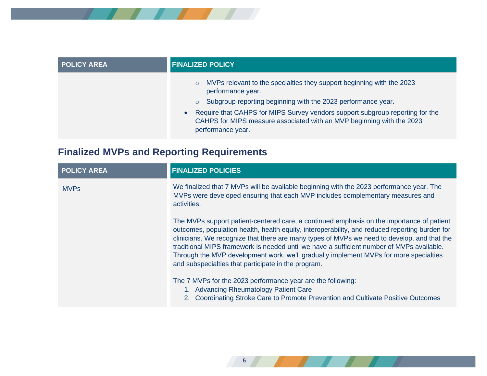

| <b>POLICY AREA</b> | <b>FINALIZED POLICY</b>                                                                                                                                                                                                                                                                                                                                         |
|--------------------|-----------------------------------------------------------------------------------------------------------------------------------------------------------------------------------------------------------------------------------------------------------------------------------------------------------------------------------------------------------------|
|                    | MVPs relevant to the specialties they support beginning with the 2023<br>$\circ$<br>performance year.<br>Subgroup reporting beginning with the 2023 performance year.<br>$\circ$<br>Require that CAHPS for MIPS Survey vendors support subgroup reporting for the<br>CAHPS for MIPS measure associated with an MVP beginning with the 2023<br>performance year. |

## **Finalized MVPs and Reporting Requirements**

| <b>POLICY AREA</b> | <b>FINALIZED POLICIES</b>                                                                                                                                                                                                                                                                                                                                                                                                                                                                                                               |
|--------------------|-----------------------------------------------------------------------------------------------------------------------------------------------------------------------------------------------------------------------------------------------------------------------------------------------------------------------------------------------------------------------------------------------------------------------------------------------------------------------------------------------------------------------------------------|
| <b>MVPs</b>        | We finalized that 7 MVPs will be available beginning with the 2023 performance year. The<br>MVPs were developed ensuring that each MVP includes complementary measures and<br>activities.                                                                                                                                                                                                                                                                                                                                               |
|                    | The MVPs support patient-centered care, a continued emphasis on the importance of patient<br>outcomes, population health, health equity, interoperability, and reduced reporting burden for<br>clinicians. We recognize that there are many types of MVPs we need to develop, and that the<br>traditional MIPS framework is needed until we have a sufficient number of MVPs available.<br>Through the MVP development work, we'll gradually implement MVPs for more specialties<br>and subspecialties that participate in the program. |
|                    | The 7 MVPs for the 2023 performance year are the following:<br>1. Advancing Rheumatology Patient Care<br>2. Coordinating Stroke Care to Promote Prevention and Cultivate Positive Outcomes                                                                                                                                                                                                                                                                                                                                              |

**5**

<u>and the state of the state of the state of the state of the state of the state of the state of the state of the state of the state of the state of the state of the state of the state of the state of the state of the state</u>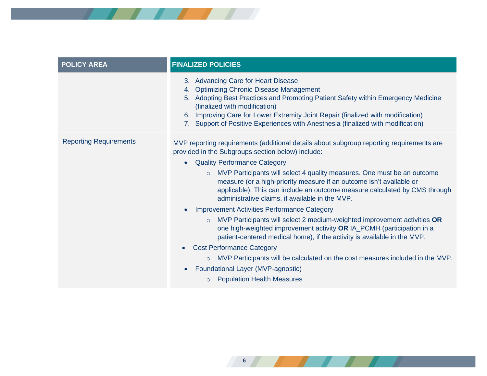

| <b>FINALIZED POLICIES</b>                                                                                                                                                                                                                                                                                                                                                                                                                                                                        |
|--------------------------------------------------------------------------------------------------------------------------------------------------------------------------------------------------------------------------------------------------------------------------------------------------------------------------------------------------------------------------------------------------------------------------------------------------------------------------------------------------|
| 3. Advancing Care for Heart Disease<br><b>Optimizing Chronic Disease Management</b><br>4.<br>Adopting Best Practices and Promoting Patient Safety within Emergency Medicine<br>5.<br>(finalized with modification)<br>Improving Care for Lower Extremity Joint Repair (finalized with modification)<br>6.<br>Support of Positive Experiences with Anesthesia (finalized with modification)                                                                                                       |
| MVP reporting requirements (additional details about subgroup reporting requirements are<br>provided in the Subgroups section below) include:<br><b>Quality Performance Category</b><br>$\bullet$<br>MVP Participants will select 4 quality measures. One must be an outcome<br>$\circ$<br>measure (or a high-priority measure if an outcome isn't available or<br>applicable). This can include an outcome measure calculated by CMS through<br>administrative claims, if available in the MVP. |
| <b>Improvement Activities Performance Category</b><br>MVP Participants will select 2 medium-weighted improvement activities OR<br>$\circ$<br>one high-weighted improvement activity OR IA_PCMH (participation in a<br>patient-centered medical home), if the activity is available in the MVP.                                                                                                                                                                                                   |
| <b>Cost Performance Category</b><br>$\bullet$<br>MVP Participants will be calculated on the cost measures included in the MVP.<br>Foundational Layer (MVP-agnostic)<br><b>Population Health Measures</b><br>$\circ$                                                                                                                                                                                                                                                                              |
|                                                                                                                                                                                                                                                                                                                                                                                                                                                                                                  |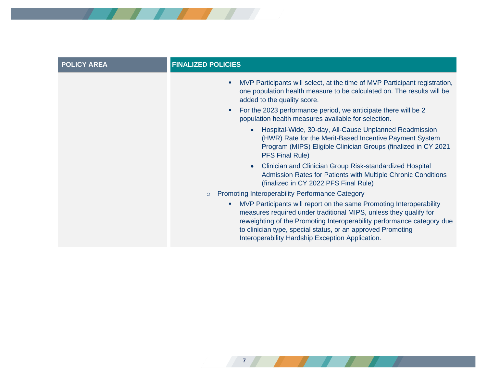| <b>POLICY AREA</b> | <b>FINALIZED POLICIES</b>                                                                                                                                                                                                                                                                                                                   |
|--------------------|---------------------------------------------------------------------------------------------------------------------------------------------------------------------------------------------------------------------------------------------------------------------------------------------------------------------------------------------|
|                    | MVP Participants will select, at the time of MVP Participant registration,<br>٠<br>one population health measure to be calculated on. The results will be<br>added to the quality score.                                                                                                                                                    |
|                    | For the 2023 performance period, we anticipate there will be 2<br>٠<br>population health measures available for selection.                                                                                                                                                                                                                  |
|                    | Hospital-Wide, 30-day, All-Cause Unplanned Readmission<br>$\bullet$<br>(HWR) Rate for the Merit-Based Incentive Payment System<br>Program (MIPS) Eligible Clinician Groups (finalized in CY 2021<br><b>PFS Final Rule)</b>                                                                                                                  |
|                    | Clinician and Clinician Group Risk-standardized Hospital<br>$\bullet$<br>Admission Rates for Patients with Multiple Chronic Conditions<br>(finalized in CY 2022 PFS Final Rule)                                                                                                                                                             |
|                    | <b>Promoting Interoperability Performance Category</b><br>$\circ$                                                                                                                                                                                                                                                                           |
|                    | MVP Participants will report on the same Promoting Interoperability<br>a.<br>measures required under traditional MIPS, unless they qualify for<br>reweighting of the Promoting Interoperability performance category due<br>to clinician type, special status, or an approved Promoting<br>Interoperability Hardship Exception Application. |

*7 <i>1 1 1 1 1 1 1*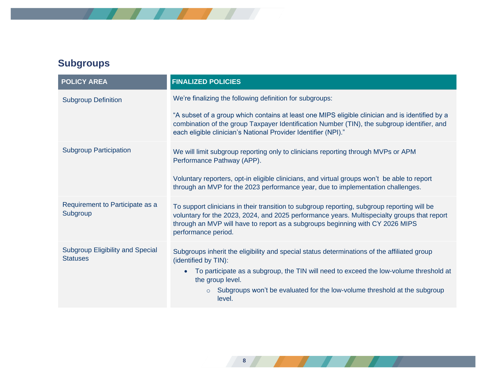

## **Subgroups**

| <b>POLICY AREA</b>                                         | <b>FINALIZED POLICIES</b>                                                                                                                                                                                                                                                                          |
|------------------------------------------------------------|----------------------------------------------------------------------------------------------------------------------------------------------------------------------------------------------------------------------------------------------------------------------------------------------------|
| <b>Subgroup Definition</b>                                 | We're finalizing the following definition for subgroups:                                                                                                                                                                                                                                           |
|                                                            | "A subset of a group which contains at least one MIPS eligible clinician and is identified by a<br>combination of the group Taxpayer Identification Number (TIN), the subgroup identifier, and<br>each eligible clinician's National Provider Identifier (NPI)."                                   |
| <b>Subgroup Participation</b>                              | We will limit subgroup reporting only to clinicians reporting through MVPs or APM<br>Performance Pathway (APP).                                                                                                                                                                                    |
|                                                            | Voluntary reporters, opt-in eligible clinicians, and virtual groups won't be able to report<br>through an MVP for the 2023 performance year, due to implementation challenges.                                                                                                                     |
| Requirement to Participate as a<br>Subgroup                | To support clinicians in their transition to subgroup reporting, subgroup reporting will be<br>voluntary for the 2023, 2024, and 2025 performance years. Multispecialty groups that report<br>through an MVP will have to report as a subgroups beginning with CY 2026 MIPS<br>performance period. |
| <b>Subgroup Eligibility and Special</b><br><b>Statuses</b> | Subgroups inherit the eligibility and special status determinations of the affiliated group<br>(identified by TIN):                                                                                                                                                                                |
|                                                            | To participate as a subgroup, the TIN will need to exceed the low-volume threshold at<br>the group level.                                                                                                                                                                                          |
|                                                            | Subgroups won't be evaluated for the low-volume threshold at the subgroup<br>$\circ$<br>level.                                                                                                                                                                                                     |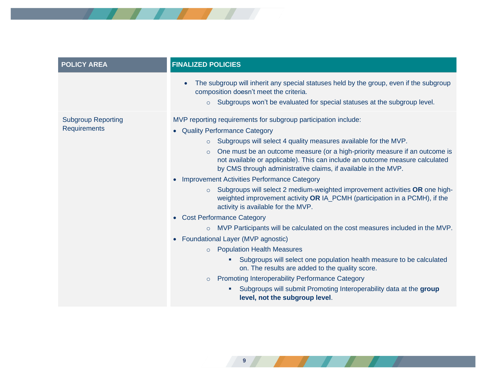

| <b>POLICY AREA</b>                               | <b>FINALIZED POLICIES</b>                                                                                                                                                                                                                                                                                                                                                                                                                                                                                                                                                                                                                                                                                                                                                                                                                                                                                                                                                                                                                                                                                                                                                                                     |
|--------------------------------------------------|---------------------------------------------------------------------------------------------------------------------------------------------------------------------------------------------------------------------------------------------------------------------------------------------------------------------------------------------------------------------------------------------------------------------------------------------------------------------------------------------------------------------------------------------------------------------------------------------------------------------------------------------------------------------------------------------------------------------------------------------------------------------------------------------------------------------------------------------------------------------------------------------------------------------------------------------------------------------------------------------------------------------------------------------------------------------------------------------------------------------------------------------------------------------------------------------------------------|
|                                                  | The subgroup will inherit any special statuses held by the group, even if the subgroup<br>composition doesn't meet the criteria.<br>Subgroups won't be evaluated for special statuses at the subgroup level.                                                                                                                                                                                                                                                                                                                                                                                                                                                                                                                                                                                                                                                                                                                                                                                                                                                                                                                                                                                                  |
| <b>Subgroup Reporting</b><br><b>Requirements</b> | MVP reporting requirements for subgroup participation include:<br>• Quality Performance Category<br>Subgroups will select 4 quality measures available for the MVP.<br>$\circ$<br>One must be an outcome measure (or a high-priority measure if an outcome is<br>$\circ$<br>not available or applicable). This can include an outcome measure calculated<br>by CMS through administrative claims, if available in the MVP.<br><b>Improvement Activities Performance Category</b><br>Subgroups will select 2 medium-weighted improvement activities OR one high-<br>$\circ$<br>weighted improvement activity OR IA_PCMH (participation in a PCMH), if the<br>activity is available for the MVP.<br>• Cost Performance Category<br>MVP Participants will be calculated on the cost measures included in the MVP.<br>• Foundational Layer (MVP agnostic)<br><b>Population Health Measures</b><br>$\circ$<br>Subgroups will select one population health measure to be calculated<br>on. The results are added to the quality score.<br><b>Promoting Interoperability Performance Category</b><br>$\circ$<br>Subgroups will submit Promoting Interoperability data at the group<br>level, not the subgroup level. |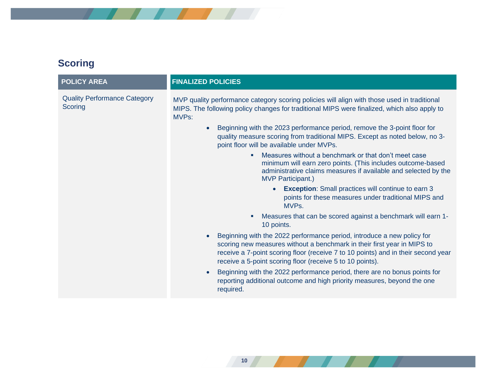

### **Scoring**

| <b>POLICY AREA</b>                             | <b>FINALIZED POLICIES</b>                                                                                                                                                                                                                                                                                                                                             |
|------------------------------------------------|-----------------------------------------------------------------------------------------------------------------------------------------------------------------------------------------------------------------------------------------------------------------------------------------------------------------------------------------------------------------------|
| <b>Quality Performance Category</b><br>Scoring | MVP quality performance category scoring policies will align with those used in traditional<br>MIPS. The following policy changes for traditional MIPS were finalized, which also apply to<br><b>MVPs:</b><br>Beginning with the 2023 performance period, remove the 3-point floor for<br>quality measure scoring from traditional MIPS. Except as noted below, no 3- |
|                                                | point floor will be available under MVPs.                                                                                                                                                                                                                                                                                                                             |
|                                                | Measures without a benchmark or that don't meet case<br>٠<br>minimum will earn zero points. (This includes outcome-based<br>administrative claims measures if available and selected by the<br><b>MVP Participant.)</b>                                                                                                                                               |
|                                                | <b>Exception:</b> Small practices will continue to earn 3<br>points for these measures under traditional MIPS and<br>MVP <sub>s</sub> .                                                                                                                                                                                                                               |
|                                                | Measures that can be scored against a benchmark will earn 1-<br>Е<br>10 points.                                                                                                                                                                                                                                                                                       |
|                                                | Beginning with the 2022 performance period, introduce a new policy for<br>scoring new measures without a benchmark in their first year in MIPS to<br>receive a 7-point scoring floor (receive 7 to 10 points) and in their second year<br>receive a 5-point scoring floor (receive 5 to 10 points).                                                                   |
|                                                | Beginning with the 2022 performance period, there are no bonus points for<br>$\bullet$<br>reporting additional outcome and high priority measures, beyond the one<br>required.                                                                                                                                                                                        |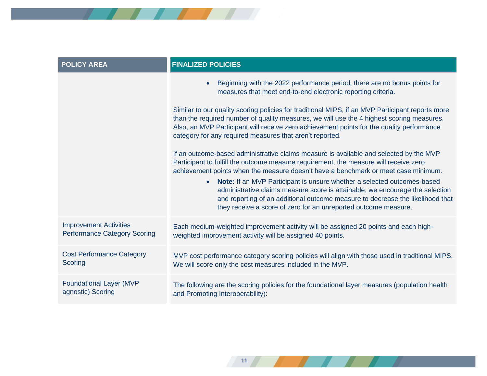

**11**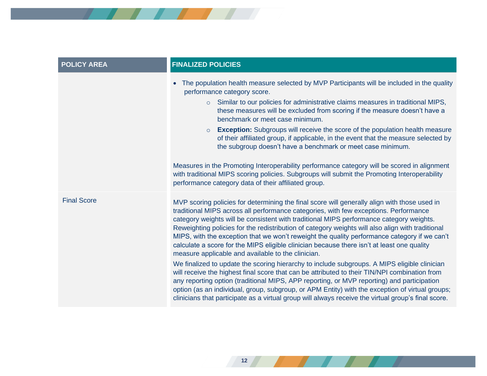

| <b>POLICY AREA</b> | <b>FINALIZED POLICIES</b>                                                                                                                                                                                                                                                                                                                                                                                                                                                                                                                                                                                                                                                                                                                                                                                                                                                                                                                                                                                                                                                                                                                        |
|--------------------|--------------------------------------------------------------------------------------------------------------------------------------------------------------------------------------------------------------------------------------------------------------------------------------------------------------------------------------------------------------------------------------------------------------------------------------------------------------------------------------------------------------------------------------------------------------------------------------------------------------------------------------------------------------------------------------------------------------------------------------------------------------------------------------------------------------------------------------------------------------------------------------------------------------------------------------------------------------------------------------------------------------------------------------------------------------------------------------------------------------------------------------------------|
|                    | The population health measure selected by MVP Participants will be included in the quality<br>performance category score.<br>○ Similar to our policies for administrative claims measures in traditional MIPS,<br>these measures will be excluded from scoring if the measure doesn't have a<br>benchmark or meet case minimum.<br><b>Exception:</b> Subgroups will receive the score of the population health measure<br>$\circ$<br>of their affiliated group, if applicable, in the event that the measure selected by<br>the subgroup doesn't have a benchmark or meet case minimum.<br>Measures in the Promoting Interoperability performance category will be scored in alignment<br>with traditional MIPS scoring policies. Subgroups will submit the Promoting Interoperability<br>performance category data of their affiliated group.                                                                                                                                                                                                                                                                                                   |
| <b>Final Score</b> | MVP scoring policies for determining the final score will generally align with those used in<br>traditional MIPS across all performance categories, with few exceptions. Performance<br>category weights will be consistent with traditional MIPS performance category weights.<br>Reweighting policies for the redistribution of category weights will also align with traditional<br>MIPS, with the exception that we won't reweight the quality performance category if we can't<br>calculate a score for the MIPS eligible clinician because there isn't at least one quality<br>measure applicable and available to the clinician.<br>We finalized to update the scoring hierarchy to include subgroups. A MIPS eligible clinician<br>will receive the highest final score that can be attributed to their TIN/NPI combination from<br>any reporting option (traditional MIPS, APP reporting, or MVP reporting) and participation<br>option (as an individual, group, subgroup, or APM Entity) with the exception of virtual groups;<br>clinicians that participate as a virtual group will always receive the virtual group's final score. |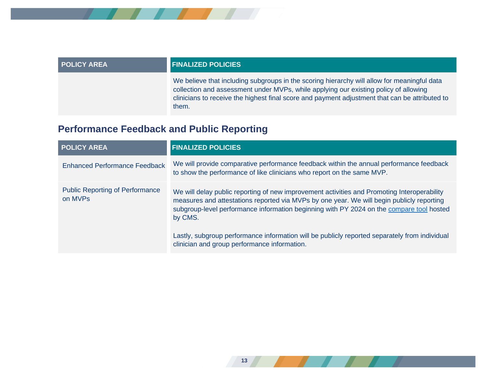

| <b>POLICY AREA</b> | <b>FINALIZED POLICIES</b>                                                                                                                                                                                                                                                                      |
|--------------------|------------------------------------------------------------------------------------------------------------------------------------------------------------------------------------------------------------------------------------------------------------------------------------------------|
|                    | We believe that including subgroups in the scoring hierarchy will allow for meaningful data<br>collection and assessment under MVPs, while applying our existing policy of allowing<br>clinicians to receive the highest final score and payment adjustment that can be attributed to<br>them. |

### **Performance Feedback and Public Reporting**

| <b>POLICY AREA</b>                                | <b>FINALIZED POLICIES</b>                                                                                                                                                                                                                                                                       |
|---------------------------------------------------|-------------------------------------------------------------------------------------------------------------------------------------------------------------------------------------------------------------------------------------------------------------------------------------------------|
| <b>Enhanced Performance Feedback</b>              | We will provide comparative performance feedback within the annual performance feedback<br>to show the performance of like clinicians who report on the same MVP.                                                                                                                               |
| <b>Public Reporting of Performance</b><br>on MVPs | We will delay public reporting of new improvement activities and Promoting Interoperability<br>measures and attestations reported via MVPs by one year. We will begin publicly reporting<br>subgroup-level performance information beginning with PY 2024 on the compare tool hosted<br>by CMS. |
|                                                   | Lastly, subgroup performance information will be publicly reported separately from individual<br>clinician and group performance information.                                                                                                                                                   |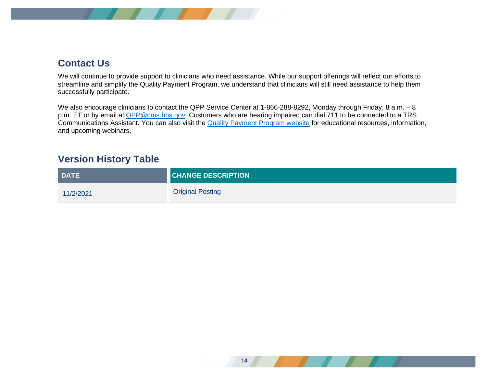

### **Contact Us**

We will continue to provide support to clinicians who need assistance. While our support offerings will reflect our efforts to streamline and simplify the Quality Payment Program, we understand that clinicians will still need assistance to help them successfully participate.

We also encourage clinicians to contact the QPP Service Center at 1-866-288-8292, Monday through Friday, 8 a.m. – 8 p.m. ET or by email at **QPP@cms.hhs.gov.** Customers who are hearing impaired can dial 711 to be connected to a TRS Communications Assistant. You can also visit the [Quality Payment Program website](https://qpp.cms.gov/mips/mips-value-pathways) for educational resources, information, and upcoming webinars.

### **Version History Table**

| <b>DATE</b> | <b>CHANGE DESCRIPTION</b> |
|-------------|---------------------------|
| 11/2/2021   | <b>Original Posting</b>   |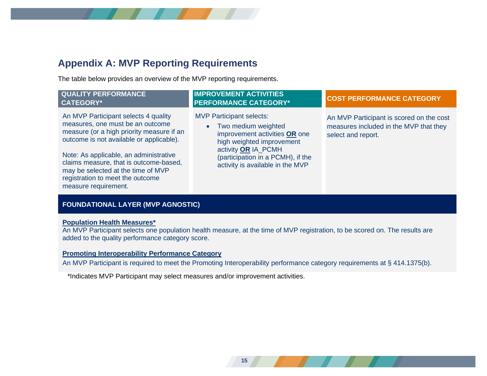### <span id="page-14-0"></span>**Appendix A: MVP Reporting Requirements**

The table below provides an overview of the MVP reporting requirements.

#### **QUALITY PERFORMANCE CATEGORY\***

An MVP Participant selects 4 quality measures, one must be an outcome measure (or a high priority measure if an outcome is not available or applicable).

Note: As applicable, an administrative claims measure, that is outcome-based, may be selected at the time of MVP registration to meet the outcome measure requirement.

#### **IMPROVEMENT ACTIVITIES PERFORMANCE CATEGORY\* COST PERFORMANCE CATEGORY**

MVP Participant selects:

• Two medium weighted improvement activities **OR** one high weighted improvement activity **OR** IA\_PCMH (participation in a PCMH), if the activity is available in the MVP

An MVP Participant is scored on the cost measures included in the MVP that they select and report.

### **FOUNDATIONAL LAYER (MVP AGNOSTIC)**

#### **Population Health Measures\***

An MVP Participant selects one population health measure, at the time of MVP registration, to be scored on. The results are added to the quality performance category score.

#### **Promoting Interoperability Performance Category**

An MVP Participant is required to meet the Promoting Interoperability performance category requirements at § 414.1375(b).

\*Indicates MVP Participant may select measures and/or improvement activities.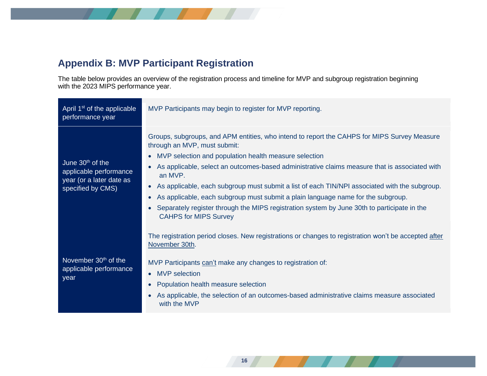

### <span id="page-15-0"></span>**Appendix B: MVP Participant Registration**

The table below provides an overview of the registration process and timeline for MVP and subgroup registration beginning with the 2023 MIPS performance year.

| April 1 <sup>st</sup> of the applicable<br>performance year                                   | MVP Participants may begin to register for MVP reporting.                                                                                                                                                                                                                                                                                                                                                                                                                                                                                                                                                                                                                             |
|-----------------------------------------------------------------------------------------------|---------------------------------------------------------------------------------------------------------------------------------------------------------------------------------------------------------------------------------------------------------------------------------------------------------------------------------------------------------------------------------------------------------------------------------------------------------------------------------------------------------------------------------------------------------------------------------------------------------------------------------------------------------------------------------------|
| June $30th$ of the<br>applicable performance<br>year (or a later date as<br>specified by CMS) | Groups, subgroups, and APM entities, who intend to report the CAHPS for MIPS Survey Measure<br>through an MVP, must submit:<br>MVP selection and population health measure selection<br>$\bullet$<br>As applicable, select an outcomes-based administrative claims measure that is associated with<br>$\bullet$<br>an MVP.<br>As applicable, each subgroup must submit a list of each TIN/NPI associated with the subgroup.<br>$\bullet$<br>As applicable, each subgroup must submit a plain language name for the subgroup.<br>$\bullet$<br>Separately register through the MIPS registration system by June 30th to participate in the<br>$\bullet$<br><b>CAHPS for MIPS Survey</b> |
| November 30 <sup>th</sup> of the<br>applicable performance<br>year                            | The registration period closes. New registrations or changes to registration won't be accepted after<br>November 30th.<br>MVP Participants can't make any changes to registration of:<br><b>MVP</b> selection<br>$\bullet$<br>Population health measure selection<br>$\bullet$<br>As applicable, the selection of an outcomes-based administrative claims measure associated<br>$\bullet$<br>with the MVP                                                                                                                                                                                                                                                                             |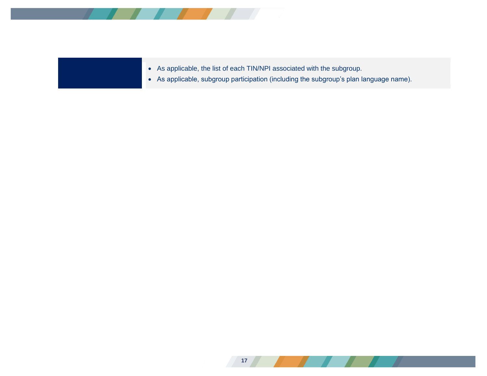

• As applicable, the list of each TIN/NPI associated with the subgroup.

• As applicable, subgroup participation (including the subgroup's plan language name).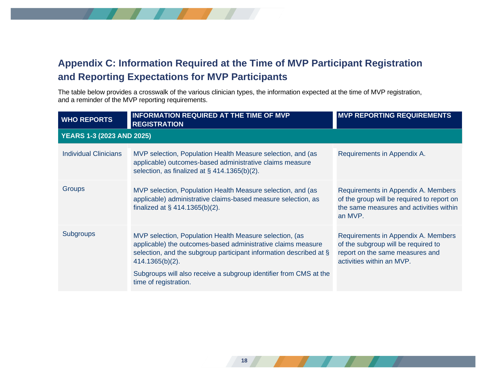### <span id="page-17-0"></span>**Appendix C: Information Required at the Time of MVP Participant Registration and Reporting Expectations for MVP Participants**

The table below provides a crosswalk of the various clinician types, the information expected at the time of MVP registration, and a reminder of the MVP reporting requirements.

| <b>WHO REPORTS</b>               | <b>INFORMATION REQUIRED AT THE TIME OF MVP</b><br><b>REGISTRATION</b>                                                                                                                                                                                                                                          | <b>MVP REPORTING REQUIREMENTS</b>                                                                                                          |  |  |
|----------------------------------|----------------------------------------------------------------------------------------------------------------------------------------------------------------------------------------------------------------------------------------------------------------------------------------------------------------|--------------------------------------------------------------------------------------------------------------------------------------------|--|--|
| <b>YEARS 1-3 (2023 AND 2025)</b> |                                                                                                                                                                                                                                                                                                                |                                                                                                                                            |  |  |
| <b>Individual Clinicians</b>     | MVP selection, Population Health Measure selection, and (as<br>applicable) outcomes-based administrative claims measure<br>selection, as finalized at $\S$ 414.1365(b)(2).                                                                                                                                     | Requirements in Appendix A.                                                                                                                |  |  |
| Groups                           | MVP selection, Population Health Measure selection, and (as<br>applicable) administrative claims-based measure selection, as<br>finalized at $\S$ 414.1365(b)(2).                                                                                                                                              | Requirements in Appendix A. Members<br>of the group will be required to report on<br>the same measures and activities within<br>an MVP.    |  |  |
| <b>Subgroups</b>                 | MVP selection, Population Health Measure selection, (as<br>applicable) the outcomes-based administrative claims measure<br>selection, and the subgroup participant information described at §<br>414.1365(b)(2).<br>Subgroups will also receive a subgroup identifier from CMS at the<br>time of registration. | Requirements in Appendix A. Members<br>of the subgroup will be required to<br>report on the same measures and<br>activities within an MVP. |  |  |